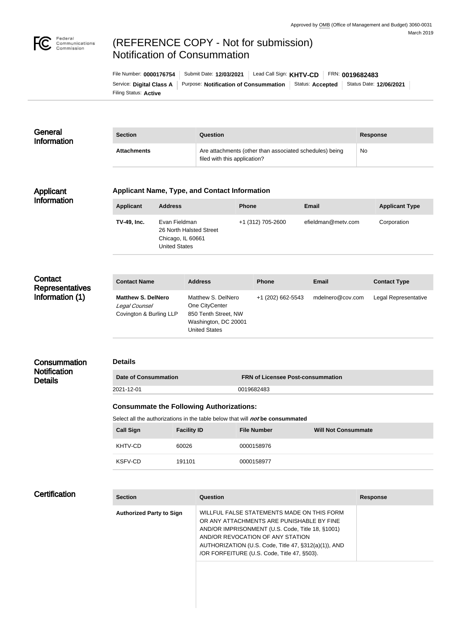

## (REFERENCE COPY - Not for submission) Notification of Consummation

| File Number: 0000176754  | Submit Date: 12/03/2021               |  | Lead Call Sign: KHTV-CD FRN: 0019682483 |                         |
|--------------------------|---------------------------------------|--|-----------------------------------------|-------------------------|
| Service: Digital Class A | Purpose: Notification of Consummation |  | Status: <b>Accepted</b>                 | Status Date: 12/06/2021 |
| Filing Status: Active    |                                       |  |                                         |                         |

| General<br><b>Information</b>                        | <b>Section</b>                                                                       |                                                                                       | Question                                                                                                     |                                   |                            | <b>Response</b>       |  |  |
|------------------------------------------------------|--------------------------------------------------------------------------------------|---------------------------------------------------------------------------------------|--------------------------------------------------------------------------------------------------------------|-----------------------------------|----------------------------|-----------------------|--|--|
|                                                      | <b>Attachments</b>                                                                   |                                                                                       | Are attachments (other than associated schedules) being<br>filed with this application?                      |                                   |                            | No                    |  |  |
| Applicant<br><b>Information</b>                      | <b>Applicant Name, Type, and Contact Information</b>                                 |                                                                                       |                                                                                                              |                                   |                            |                       |  |  |
|                                                      | <b>Applicant</b>                                                                     | <b>Address</b>                                                                        |                                                                                                              | <b>Phone</b>                      | <b>Email</b>               | <b>Applicant Type</b> |  |  |
|                                                      | TV-49, Inc.                                                                          | Evan Fieldman<br>26 North Halsted Street<br>Chicago, IL 60661<br><b>United States</b> |                                                                                                              | +1 (312) 705-2600                 | efieldman@metv.com         | Corporation           |  |  |
|                                                      |                                                                                      |                                                                                       |                                                                                                              |                                   |                            |                       |  |  |
| Contact<br><b>Representatives</b><br>Information (1) | <b>Contact Name</b>                                                                  |                                                                                       | <b>Address</b>                                                                                               | <b>Phone</b>                      | <b>Email</b>               | <b>Contact Type</b>   |  |  |
|                                                      | <b>Matthew S. DelNero</b><br>Legal Counsel<br>Covington & Burling LLP                |                                                                                       | Matthew S. DelNero<br>One CityCenter<br>850 Tenth Street, NW<br>Washington, DC 20001<br><b>United States</b> | +1 (202) 662-5543                 | mdelnero@cov.com           | Legal Representative  |  |  |
| Consummation                                         | <b>Details</b>                                                                       |                                                                                       |                                                                                                              |                                   |                            |                       |  |  |
| <b>Notification</b><br><b>Details</b>                | <b>Date of Consummation</b>                                                          |                                                                                       |                                                                                                              | FRN of Licensee Post-consummation |                            |                       |  |  |
|                                                      | 2021-12-01<br>0019682483                                                             |                                                                                       |                                                                                                              |                                   |                            |                       |  |  |
|                                                      | <b>Consummate the Following Authorizations:</b>                                      |                                                                                       |                                                                                                              |                                   |                            |                       |  |  |
|                                                      | Select all the authorizations in the table below that will <i>not</i> be consummated |                                                                                       |                                                                                                              |                                   |                            |                       |  |  |
|                                                      | <b>Call Sign</b>                                                                     | <b>Facility ID</b>                                                                    |                                                                                                              | <b>File Number</b>                | <b>Will Not Consummate</b> |                       |  |  |
|                                                      | KHTV-CD                                                                              | 60026                                                                                 |                                                                                                              | 0000158976                        |                            |                       |  |  |
|                                                      | KSFV-CD                                                                              | 191101                                                                                |                                                                                                              | 0000158977                        |                            |                       |  |  |
|                                                      |                                                                                      |                                                                                       |                                                                                                              |                                   |                            |                       |  |  |

| <b>Certification</b> | <b>Section</b>                  | Question                                                                                                                                                                                                                                                                               | <b>Response</b> |
|----------------------|---------------------------------|----------------------------------------------------------------------------------------------------------------------------------------------------------------------------------------------------------------------------------------------------------------------------------------|-----------------|
|                      | <b>Authorized Party to Sign</b> | WILLFUL FALSE STATEMENTS MADE ON THIS FORM<br>OR ANY ATTACHMENTS ARE PUNISHABLE BY FINE<br>AND/OR IMPRISONMENT (U.S. Code, Title 18, §1001)<br>AND/OR REVOCATION OF ANY STATION<br>AUTHORIZATION (U.S. Code, Title 47, §312(a)(1)), AND<br>/OR FORFEITURE (U.S. Code, Title 47, §503). |                 |
|                      |                                 |                                                                                                                                                                                                                                                                                        |                 |